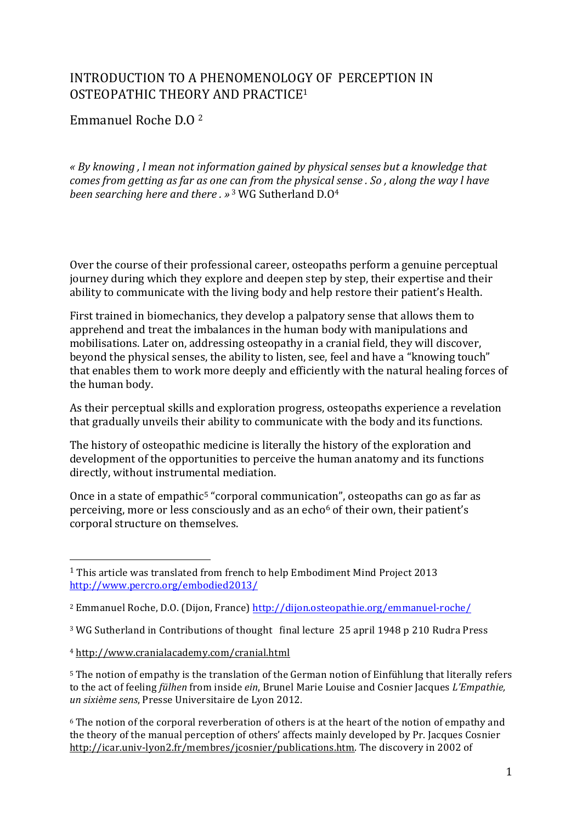## INTRODUCTION TO A PHENOMENOLOGY OF PERCEPTION IN OSTEOPATHIC THEORY AND PRACTICE<sup>1</sup>

Emmanuel Roche D.O 2

*« By knowing , l mean not information gained by physical senses but a knowledge that comes from getting as far as one can from the physical sense . So, along the way l have been searching here and there.* »<sup>3</sup> WG Sutherland D.O<sup>4</sup>

Over the course of their professional career, osteopaths perform a genuine perceptual journey during which they explore and deepen step by step, their expertise and their ability to communicate with the living body and help restore their patient's Health.

First trained in biomechanics, they develop a palpatory sense that allows them to apprehend and treat the imbalances in the human body with manipulations and mobilisations. Later on, addressing osteopathy in a cranial field, they will discover, beyond the physical senses, the ability to listen, see, feel and have a "knowing touch" that enables them to work more deeply and efficiently with the natural healing forces of the human body.

As their perceptual skills and exploration progress, osteopaths experience a revelation that gradually unveils their ability to communicate with the body and its functions.

The history of osteopathic medicine is literally the history of the exploration and development of the opportunities to perceive the human anatomy and its functions directly, without instrumental mediation.

Once in a state of empathic<sup>5</sup> "corporal communication", osteopaths can go as far as perceiving, more or less consciously and as an echo $6$  of their own, their patient's corporal structure on themselves.

<sup>3</sup> WG Sutherland in Contributions of thought final lecture 25 april 1948 p 210 Rudra Press

 $1$  This article was translated from french to help Embodiment Mind Project 2013 http://www.percro.org/embodied2013/

<sup>&</sup>lt;sup>2</sup> Emmanuel Roche, D.O. (Dijon, France) http://dijon.osteopathie.org/emmanuel-roche/

<sup>4</sup> http://www.cranialacademy.com/cranial.html

<sup>&</sup>lt;sup>5</sup> The notion of empathy is the translation of the German notion of Einfühlung that literally refers to the act of feeling *fülhen* from inside *ein*, Brunel Marie Louise and Cosnier Jacques *L'Empathie*, *un sixième sens*, Presse Universitaire de Lyon 2012.

 $6$  The notion of the corporal reverberation of others is at the heart of the notion of empathy and the theory of the manual perception of others' affects mainly developed by Pr. Jacques Cosnier http://icar.univ-lyon2.fr/membres/jcosnier/publications.htm. The discovery in 2002 of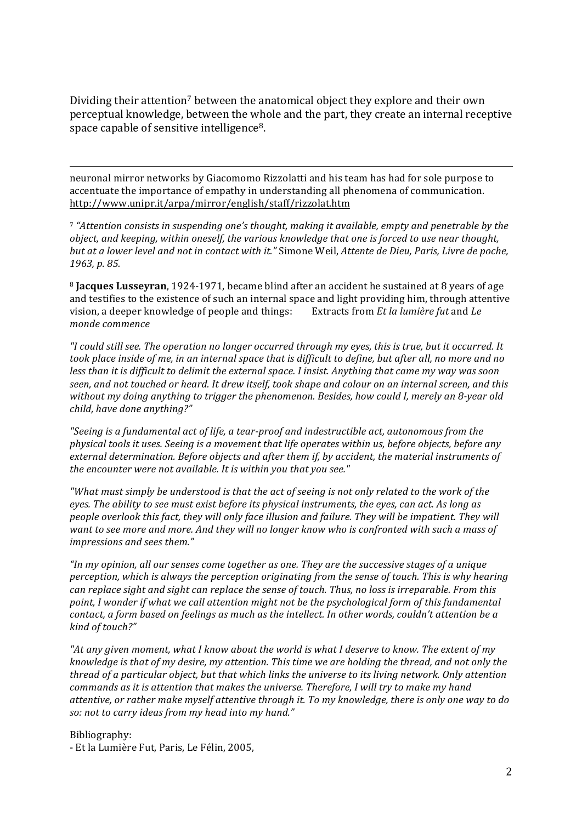Dividing their attention<sup>7</sup> between the anatomical object they explore and their own perceptual knowledge, between the whole and the part, they create an internal receptive space capable of sensitive intelligence<sup>8</sup>.

<u> 1989 - Andrea Santa Alemania, amerikana amerikana amerikana amerikana amerikana amerikana amerikana amerikan</u>

neuronal mirror networks by Giacomomo Rizzolatti and his team has had for sole purpose to accentuate the importance of empathy in understanding all phenomena of communication. http://www.unipr.it/arpa/mirror/english/staff/rizzolat.htm

<sup>7</sup> "Attention consists in suspending one's thought, making it available, empty and penetrable by the *object, and keeping, within oneself, the various knowledge that one is forced to use near thought, but at a lower level and not in contact with it."* Simone Weil, *Attente de Dieu, Paris, Livre de poche,* 1963, p. 85.

<sup>8</sup> **Jacques Lusseyran**, 1924-1971, became blind after an accident he sustained at 8 years of age and testifies to the existence of such an internal space and light providing him, through attentive vision, a deeper knowledge of people and things: Extracts from *Et la lumière fut* and *Le monde commence* 

*"I could still see. The operation no longer occurred through my eyes, this is true, but it occurred. It*  took place inside of me, in an internal space that is difficult to define, but after all, no more and no *less* than it is difficult to delimit the external space. I insist. Anything that came my way was soon seen, and not touched or heard. It drew itself, took shape and colour on an internal screen, and this without my doing anything to trigger the phenomenon. Besides, how could I, merely an 8-year old child, have done anything?"

"Seeing is a fundamental act of life, a tear-proof and indestructible act, autonomous from the *physical tools it uses. Seeing is a movement that life operates within us, before objects, before any* external determination. Before objects and after them if, by accident, the material instruments of the encounter were not available. It is within you that you see."

*"What must simply be understood is that the act of seeing is not only related to the work of the eyes.* The ability to see must exist before its physical instruments, the eyes, can act. As long as *people overlook this fact, they will only face illusion and failure. They will be impatient. They will* want to see more and more. And they will no longer know who is confronted with such a mass of *impressions and sees them."*

*"In* my opinion, all our senses come together as one. They are the successive stages of a unique *perception, which is always the perception originating from the sense of touch. This is why hearing can replace sight and sight can replace the sense of touch. Thus, no loss is irreparable. From this* point, I wonder if what we call attention might not be the psychological form of this fundamental *contact, a form based on feelings as much as the intellect. In other words, couldn't attention be a kind of touch?"* 

"At any given moment, what I know about the world is what I deserve to know. The extent of my *knowledge is that of my desire, my attention. This time we are holding the thread, and not only the thread* of a particular object, but that which links the universe to its living network. Only attention *commands as it is attention that makes the universe. Therefore, I will try to make my hand* attentive, or rather make myself attentive through it. To my knowledge, there is only one way to do so: not to carry ideas from my head into my hand."

Bibliography:

- Et la Lumière Fut, Paris, Le Félin, 2005,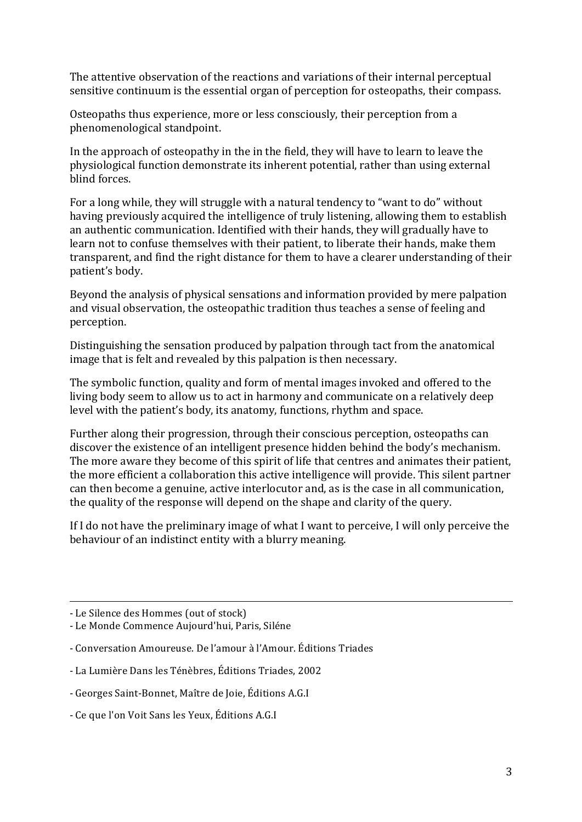The attentive observation of the reactions and variations of their internal perceptual sensitive continuum is the essential organ of perception for osteopaths, their compass.

Osteopaths thus experience, more or less consciously, their perception from a phenomenological standpoint.

In the approach of osteopathy in the in the field, they will have to learn to leave the physiological function demonstrate its inherent potential, rather than using external blind forces.

For a long while, they will struggle with a natural tendency to "want to do" without having previously acquired the intelligence of truly listening, allowing them to establish an authentic communication. Identified with their hands, they will gradually have to learn not to confuse themselves with their patient, to liberate their hands, make them transparent, and find the right distance for them to have a clearer understanding of their patient's body.

Beyond the analysis of physical sensations and information provided by mere palpation and visual observation, the osteopathic tradition thus teaches a sense of feeling and perception.

Distinguishing the sensation produced by palpation through tact from the anatomical image that is felt and revealed by this palpation is then necessary.

The symbolic function, quality and form of mental images invoked and offered to the living body seem to allow us to act in harmony and communicate on a relatively deep level with the patient's body, its anatomy, functions, rhythm and space.

Further along their progression, through their conscious perception, osteopaths can discover the existence of an intelligent presence hidden behind the body's mechanism. The more aware they become of this spirit of life that centres and animates their patient, the more efficient a collaboration this active intelligence will provide. This silent partner can then become a genuine, active interlocutor and, as is the case in all communication, the quality of the response will depend on the shape and clarity of the query.

If I do not have the preliminary image of what I want to perceive, I will only perceive the behaviour of an indistinct entity with a blurry meaning.

<u> 1989 - Andrea Santa Alemania, amerikana amerikana amerikana amerikana amerikana amerikana amerikana amerikan</u>

<sup>-</sup> Le Silence des Hommes (out of stock)

<sup>-</sup> Le Monde Commence Aujourd'hui, Paris, Siléne

<sup>-</sup> Conversation Amoureuse. De l'amour à l'Amour. Éditions Triades

<sup>-</sup> La Lumière Dans les Ténèbres, Éditions Triades. 2002

<sup>-</sup> Georges Saint-Bonnet, Maître de Joie, Éditions A.G.I

<sup>-</sup> Ce que l'on Voit Sans les Yeux, Éditions A.G.I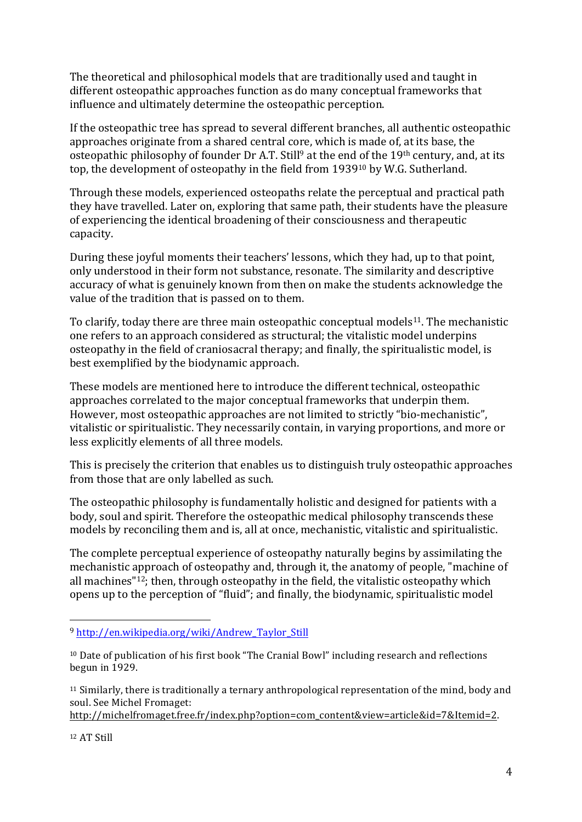The theoretical and philosophical models that are traditionally used and taught in different osteopathic approaches function as do many conceptual frameworks that influence and ultimately determine the osteopathic perception.

If the osteopathic tree has spread to several different branches, all authentic osteopathic approaches originate from a shared central core, which is made of, at its base, the osteopathic philosophy of founder Dr A.T. Still<sup>9</sup> at the end of the  $19<sup>th</sup>$  century, and, at its top, the development of osteopathy in the field from 1939<sup>10</sup> by W.G. Sutherland.

Through these models, experienced osteopaths relate the perceptual and practical path they have travelled. Later on, exploring that same path, their students have the pleasure of experiencing the identical broadening of their consciousness and therapeutic capacity. 

During these joyful moments their teachers' lessons, which they had, up to that point, only understood in their form not substance, resonate. The similarity and descriptive accuracy of what is genuinely known from then on make the students acknowledge the value of the tradition that is passed on to them.

To clarify, today there are three main osteopathic conceptual models<sup>11</sup>. The mechanistic one refers to an approach considered as structural; the vitalistic model underpins osteopathy in the field of craniosacral therapy; and finally, the spiritualistic model, is best exemplified by the biodynamic approach.

These models are mentioned here to introduce the different technical, osteopathic approaches correlated to the major conceptual frameworks that underpin them. However, most osteopathic approaches are not limited to strictly "bio-mechanistic", vitalistic or spiritualistic. They necessarily contain, in varying proportions, and more or less explicitly elements of all three models.

This is precisely the criterion that enables us to distinguish truly osteopathic approaches from those that are only labelled as such.

The osteopathic philosophy is fundamentally holistic and designed for patients with a body, soul and spirit. Therefore the osteopathic medical philosophy transcends these models by reconciling them and is, all at once, mechanistic, vitalistic and spiritualistic.

The complete perceptual experience of osteopathy naturally begins by assimilating the mechanistic approach of osteopathy and, through it, the anatomy of people, "machine of all machines"<sup>12</sup>; then, through osteopathy in the field, the vitalistic osteopathy which opens up to the perception of "fluid"; and finally, the biodynamic, spiritualistic model

 

 $11$  Similarly, there is traditionally a ternary anthropological representation of the mind, body and soul. See Michel Fromaget:

http://michelfromaget.free.fr/index.php?option=com\_content&view=article&id=7&Itemid=2. 

<sup>12</sup> AT Still 

<sup>9</sup> http://en.wikipedia.org/wiki/Andrew\_Taylor\_Still

<sup>&</sup>lt;sup>10</sup> Date of publication of his first book "The Cranial Bowl" including research and reflections begun in 1929.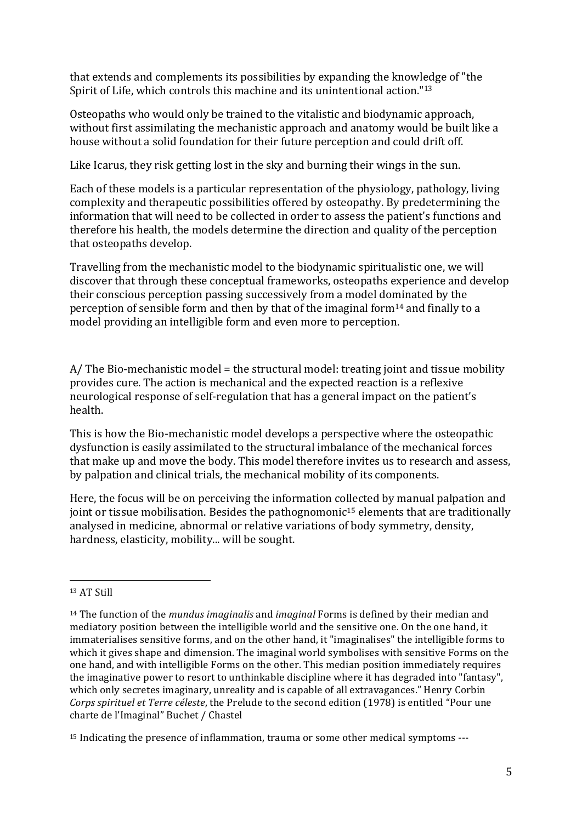that extends and complements its possibilities by expanding the knowledge of "the Spirit of Life, which controls this machine and its unintentional action."<sup>13</sup>

Osteopaths who would only be trained to the vitalistic and biodynamic approach, without first assimilating the mechanistic approach and anatomy would be built like a house without a solid foundation for their future perception and could drift off.

Like Icarus, they risk getting lost in the sky and burning their wings in the sun.

Each of these models is a particular representation of the physiology, pathology, living complexity and therapeutic possibilities offered by osteopathy. By predetermining the information that will need to be collected in order to assess the patient's functions and therefore his health, the models determine the direction and quality of the perception that osteopaths develop.

Travelling from the mechanistic model to the biodynamic spiritualistic one, we will discover that through these conceptual frameworks, osteopaths experience and develop their conscious perception passing successively from a model dominated by the perception of sensible form and then by that of the imaginal form<sup>14</sup> and finally to a model providing an intelligible form and even more to perception.

 $A$ / The Bio-mechanistic model = the structural model: treating joint and tissue mobility provides cure. The action is mechanical and the expected reaction is a reflexive neurological response of self-regulation that has a general impact on the patient's health.

This is how the Bio-mechanistic model develops a perspective where the osteopathic dysfunction is easily assimilated to the structural imbalance of the mechanical forces that make up and move the body. This model therefore invites us to research and assess, by palpation and clinical trials, the mechanical mobility of its components.

Here, the focus will be on perceiving the information collected by manual palpation and joint or tissue mobilisation. Besides the pathognomonic<sup>15</sup> elements that are traditionally analysed in medicine, abnormal or relative variations of body symmetry, density, hardness, elasticity, mobility... will be sought.

<sup>&</sup>lt;sup>13</sup> AT Still

<sup>&</sup>lt;sup>14</sup> The function of the *mundus imaginalis* and *imaginal* Forms is defined by their median and mediatory position between the intelligible world and the sensitive one. On the one hand, it immaterialises sensitive forms, and on the other hand, it "imaginalises" the intelligible forms to which it gives shape and dimension. The imaginal world symbolises with sensitive Forms on the one hand, and with intelligible Forms on the other. This median position immediately requires the imaginative power to resort to unthinkable discipline where it has degraded into "fantasy", which only secretes imaginary, unreality and is capable of all extravagances." Henry Corbin *Corps spirituel et Terre céleste*, the Prelude to the second edition (1978) is entitled "Pour une charte de l'Imaginal" Buchet / Chastel

<sup>&</sup>lt;sup>15</sup> Indicating the presence of inflammation, trauma or some other medical symptoms ---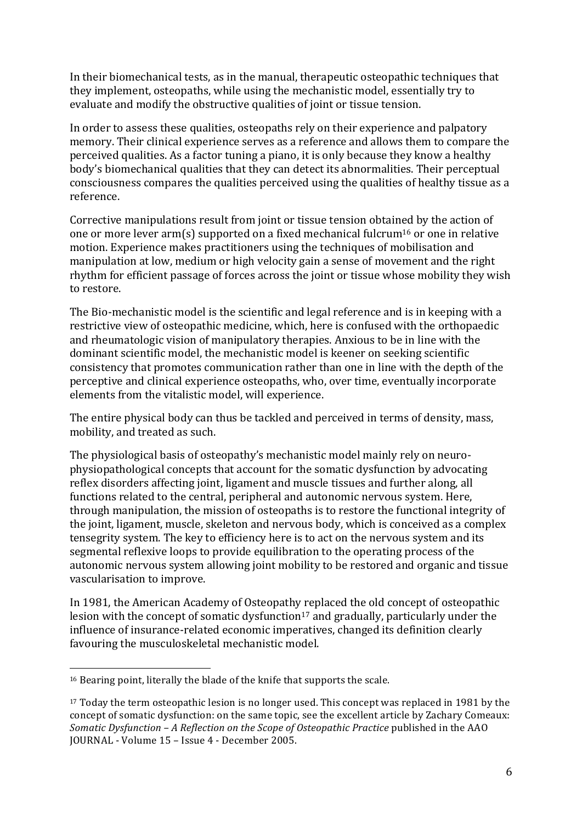In their biomechanical tests, as in the manual, therapeutic osteopathic techniques that they implement, osteopaths, while using the mechanistic model, essentially try to evaluate and modify the obstructive qualities of joint or tissue tension.

In order to assess these qualities, osteopaths rely on their experience and palpatory memory. Their clinical experience serves as a reference and allows them to compare the perceived qualities. As a factor tuning a piano, it is only because they know a healthy body's biomechanical qualities that they can detect its abnormalities. Their perceptual consciousness compares the qualities perceived using the qualities of healthy tissue as a reference. 

Corrective manipulations result from joint or tissue tension obtained by the action of one or more lever arm(s) supported on a fixed mechanical fulcrum<sup>16</sup> or one in relative motion. Experience makes practitioners using the techniques of mobilisation and manipulation at low, medium or high velocity gain a sense of movement and the right rhythm for efficient passage of forces across the joint or tissue whose mobility they wish to restore.

The Bio-mechanistic model is the scientific and legal reference and is in keeping with a restrictive view of osteopathic medicine, which, here is confused with the orthopaedic and rheumatologic vision of manipulatory therapies. Anxious to be in line with the dominant scientific model, the mechanistic model is keener on seeking scientific consistency that promotes communication rather than one in line with the depth of the perceptive and clinical experience osteopaths, who, over time, eventually incorporate elements from the vitalistic model, will experience.

The entire physical body can thus be tackled and perceived in terms of density, mass, mobility, and treated as such.

The physiological basis of osteopathy's mechanistic model mainly rely on neurophysiopathological concepts that account for the somatic dysfunction by advocating reflex disorders affecting joint, ligament and muscle tissues and further along, all functions related to the central, peripheral and autonomic nervous system. Here, through manipulation, the mission of osteopaths is to restore the functional integrity of the joint, ligament, muscle, skeleton and nervous body, which is conceived as a complex tensegrity system. The key to efficiency here is to act on the nervous system and its segmental reflexive loops to provide equilibration to the operating process of the autonomic nervous system allowing joint mobility to be restored and organic and tissue vascularisation to improve.

In 1981, the American Academy of Osteopathy replaced the old concept of osteopathic lesion with the concept of somatic dysfunction<sup>17</sup> and gradually, particularly under the influence of insurance-related economic imperatives, changed its definition clearly favouring the musculoskeletal mechanistic model.

 $16$  Bearing point, literally the blade of the knife that supports the scale.

<sup>&</sup>lt;sup>17</sup> Today the term osteopathic lesion is no longer used. This concept was replaced in 1981 by the concept of somatic dysfunction: on the same topic, see the excellent article by Zachary Comeaux: *Somatic Dysfunction* – *A Reflection on the Scope of Osteopathic Practice* published in the AAO JOURNAL - Volume 15 - Issue 4 - December 2005.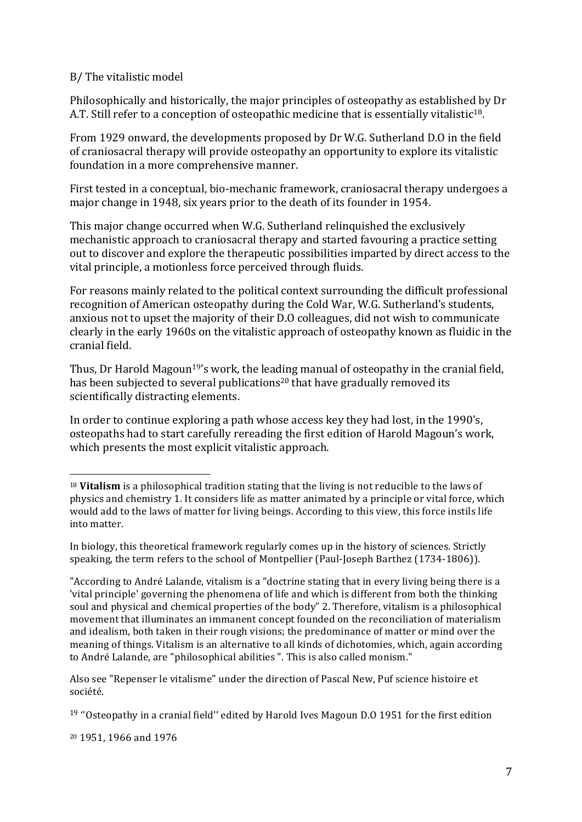## B/ The vitalistic model

Philosophically and historically, the major principles of osteopathy as established by Dr A.T. Still refer to a conception of osteopathic medicine that is essentially vitalistic<sup>18</sup>.

From 1929 onward, the developments proposed by Dr W.G. Sutherland D.O in the field of craniosacral therapy will provide osteopathy an opportunity to explore its vitalistic foundation in a more comprehensive manner.

First tested in a conceptual, bio-mechanic framework, craniosacral therapy undergoes a major change in 1948, six years prior to the death of its founder in 1954.

This major change occurred when W.G. Sutherland relinquished the exclusively mechanistic approach to craniosacral therapy and started favouring a practice setting out to discover and explore the therapeutic possibilities imparted by direct access to the vital principle, a motionless force perceived through fluids.

For reasons mainly related to the political context surrounding the difficult professional recognition of American osteopathy during the Cold War, W.G. Sutherland's students, anxious not to upset the majority of their D.O colleagues, did not wish to communicate clearly in the early 1960s on the vitalistic approach of osteopathy known as fluidic in the cranial field.

Thus, Dr Harold Magoun<sup>19'</sup>s work, the leading manual of osteopathy in the cranial field, has been subjected to several publications<sup>20</sup> that have gradually removed its scientifically distracting elements.

In order to continue exploring a path whose access key they had lost, in the 1990's, osteopaths had to start carefully rereading the first edition of Harold Magoun's work, which presents the most explicit vitalistic approach.

Also see "Repenser le vitalisme" under the direction of Pascal New, Puf science histoire et société.

<sup>20</sup> 1951, 1966 and 1976

<sup>&</sup>lt;sup>18</sup> Vitalism is a philosophical tradition stating that the living is not reducible to the laws of physics and chemistry 1. It considers life as matter animated by a principle or vital force, which would add to the laws of matter for living beings. According to this view, this force instils life into matter.

In biology, this theoretical framework regularly comes up in the history of sciences. Strictly speaking, the term refers to the school of Montpellier (Paul-Joseph Barthez (1734-1806)).

<sup>&</sup>quot;According to André Lalande, vitalism is a "doctrine stating that in every living being there is a 'vital principle' governing the phenomena of life and which is different from both the thinking soul and physical and chemical properties of the body" 2. Therefore, vitalism is a philosophical movement that illuminates an immanent concept founded on the reconciliation of materialism and idealism, both taken in their rough visions; the predominance of matter or mind over the meaning of things. Vitalism is an alternative to all kinds of dichotomies, which, again according to André Lalande, are "philosophical abilities ". This is also called monism."

 $19$  "Osteopathy in a cranial field" edited by Harold Ives Magoun D.0 1951 for the first edition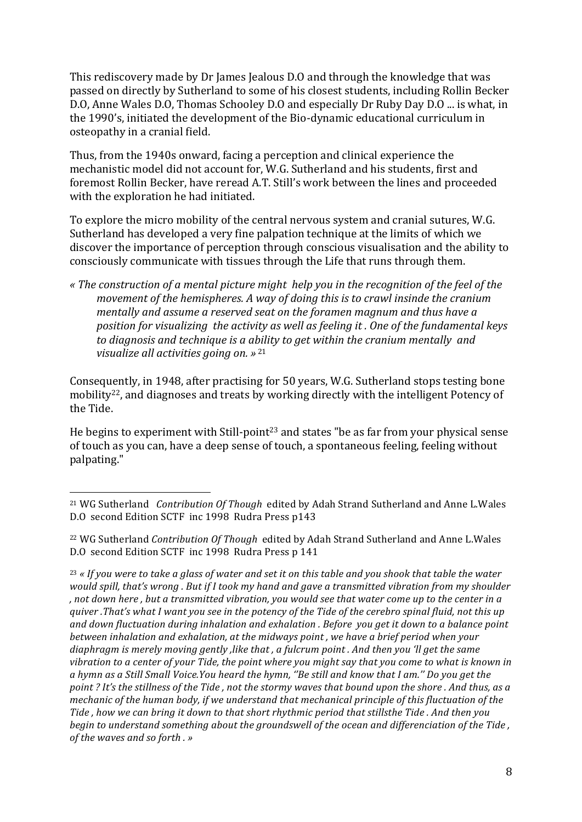This rediscovery made by Dr James Jealous D.O and through the knowledge that was passed on directly by Sutherland to some of his closest students, including Rollin Becker D.O, Anne Wales D.O, Thomas Schooley D.O and especially Dr Ruby Day D.O ... is what, in the 1990's, initiated the development of the Bio-dynamic educational curriculum in osteopathy in a cranial field.

Thus, from the 1940s onward, facing a perception and clinical experience the mechanistic model did not account for, W.G. Sutherland and his students, first and foremost Rollin Becker, have reread A.T. Still's work between the lines and proceeded with the exploration he had initiated.

To explore the micro mobility of the central nervous system and cranial sutures, W.G. Sutherland has developed a very fine palpation technique at the limits of which we discover the importance of perception through conscious visualisation and the ability to consciously communicate with tissues through the Life that runs through them.

*« The construction of a mental picture might help you in the recognition of the feel of the movement of the hemispheres. A way of doing this is to crawl insinde the cranium mentally and assume a reserved seat on the foramen magnum and thus have a position for visualizing the activity as well as feeling it . One of the fundamental keys* to diagnosis and technique is a ability to get within the cranium mentally and *visualize all activities going on.* » <sup>21</sup>

Consequently, in 1948, after practising for 50 years, W.G. Sutherland stops testing bone mobility<sup>22</sup>, and diagnoses and treats by working directly with the intelligent Potency of the Tide.

He begins to experiment with Still-point<sup>23</sup> and states "be as far from your physical sense of touch as you can, have a deep sense of touch, a spontaneous feeling, feeling without palpating."

<sup>&</sup>lt;sup>21</sup> WG Sutherland *Contribution Of Though* edited by Adah Strand Sutherland and Anne L.Wales D.O second Edition SCTF inc 1998 Rudra Press p143

<sup>&</sup>lt;sup>22</sup> WG Sutherland *Contribution Of Though* edited by Adah Strand Sutherland and Anne L.Wales D.O second Edition SCTF inc 1998 Rudra Press p 141

<sup>&</sup>lt;sup>23</sup> « If you were to take a glass of water and set it on this table and you shook that table the water would spill, that's wrong . But if I took my hand and gave a transmitted vibration from my shoulder , not down here, but a transmitted vibration, you would see that water come up to the center in a *quiver* .That's what I want you see in the potency of the Tide of the cerebro spinal fluid, not this up and down fluctuation during inhalation and exhalation . Before you get it down to a balance point *between inhalation and exhalation, at the midways point, we have a brief period when your* diaphragm is merely moving gently *,like* that , a fulcrum point . And then you 'll get the same vibration to a center of your Tide, the point where you might say that you come to what is known in a hymn as a Still Small Voice.You heard the hymn, "Be still and know that I am." Do you get the *point* ? It's the stillness of the Tide, not the stormy waves that bound upon the shore . And thus, as a *mechanic of the human body, if we understand that mechanical principle of this fluctuation of the* Tide, how we can bring it down to that short rhythmic period that stillsthe Tide. And then you begin to understand something about the groundswell of the ocean and differenciation of the Tide, *of the waves and so forth .* »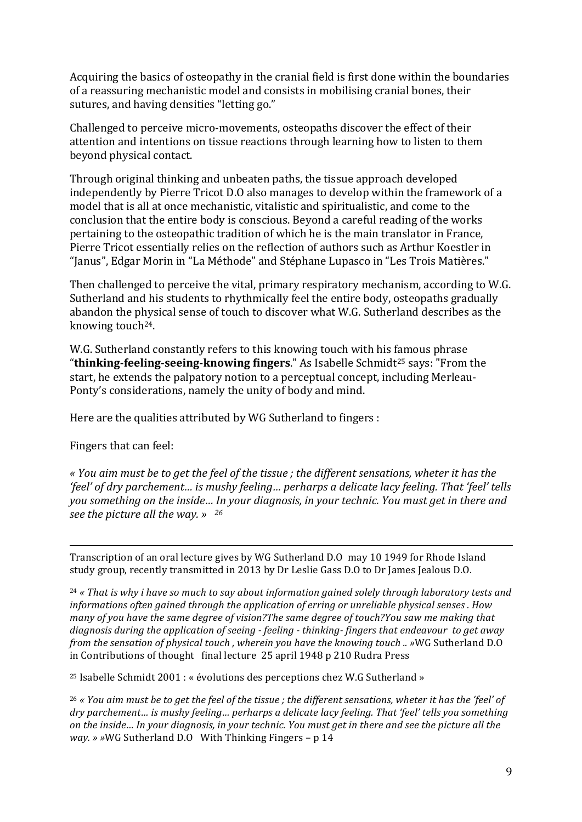Acquiring the basics of osteopathy in the cranial field is first done within the boundaries of a reassuring mechanistic model and consists in mobilising cranial bones, their sutures, and having densities "letting go."

Challenged to perceive micro-movements, osteopaths discover the effect of their attention and intentions on tissue reactions through learning how to listen to them beyond physical contact.

Through original thinking and unbeaten paths, the tissue approach developed independently by Pierre Tricot D.O also manages to develop within the framework of a model that is all at once mechanistic, vitalistic and spiritualistic, and come to the conclusion that the entire body is conscious. Beyond a careful reading of the works pertaining to the osteopathic tradition of which he is the main translator in France, Pierre Tricot essentially relies on the reflection of authors such as Arthur Koestler in "Janus", Edgar Morin in "La Méthode" and Stéphane Lupasco in "Les Trois Matières."

Then challenged to perceive the vital, primary respiratory mechanism, according to W.G. Sutherland and his students to rhythmically feel the entire body, osteopaths gradually abandon the physical sense of touch to discover what W.G. Sutherland describes as the knowing touch $24$ .

W.G. Sutherland constantly refers to this knowing touch with his famous phrase "**thinking-feeling-seeing-knowing fingers**." As Isabelle Schmidt<sup>25</sup> says: "From the start, he extends the palpatory notion to a perceptual concept, including Merleau-Ponty's considerations, namely the unity of body and mind.

Here are the qualities attributed by WG Sutherland to fingers :

Fingers that can feel:

*« You aim must be to get the feel of the tissue ; the different sensations, wheter it has the 'feel' of dry parchement… is mushy feeling… perharps a delicate lacy feeling. That 'feel' tells you something on the inside... In your diagnosis, in your technic. You must get in there and see the picture all the way.* » <sup>26</sup>

<u> 1989 - Andrea Santa Alemania, amerikana amerikana amerikana amerikana amerikana amerikana amerikana amerikan</u>

Transcription of an oral lecture gives by WG Sutherland D.O may 10 1949 for Rhode Island study group, recently transmitted in 2013 by Dr Leslie Gass D.O to Dr James Jealous D.O.

<sup>24</sup> « That is why i have so much to say about information gained solely through laboratory tests and *informations often gained through the application of erring or unreliable physical senses . How many* of you have the same dearee of vision?The same dearee of touch?You saw me making that diagnosis during the application of seeing - feeling - thinking-fingers that endeavour to get away *from the sensation of physical touch, wherein you have the knowing touch .. »WG Sutherland D.O* in Contributions of thought final lecture 25 april 1948 p 210 Rudra Press

<sup>25</sup> Isabelle Schmidt  $2001 : %$  évolutions des perceptions chez W.G Sutherland »

<sup>26</sup> « You aim must be to aet the feel of the tissue ; the different sensations, wheter it has the 'feel' of dry parchement... is mushy feeling... perharps a delicate lacy feeling. That 'feel' tells you something on the inside... In your diagnosis, in your technic. You must get in there and see the picture all the *way.* » »WG Sutherland D.O With Thinking Fingers - p 14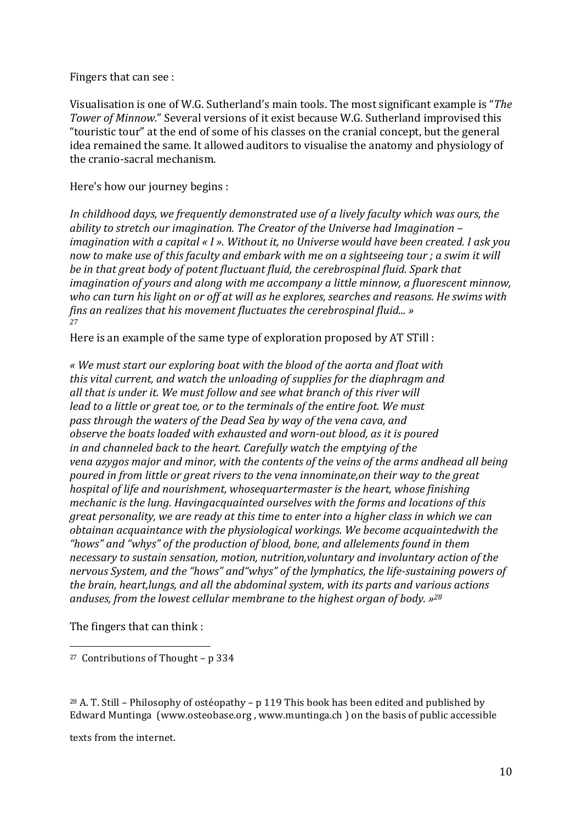Fingers that can see :

Visualisation is one of W.G. Sutherland's main tools. The most significant example is "The *Tower of Minnow."* Several versions of it exist because W.G. Sutherland improvised this "touristic tour" at the end of some of his classes on the cranial concept, but the general idea remained the same. It allowed auditors to visualise the anatomy and physiology of the cranio-sacral mechanism.

Here's how our journey begins :

In childhood days, we frequently demonstrated use of a lively faculty which was ours, the ability to stretch our imagination. The Creator of the Universe had Imagination *imagination* with a capital « I ». Without it, no Universe would have been created. I ask you now to make use of this faculty and embark with me on a sightseeing tour ; a swim it will *be* in that great body of potent fluctuant fluid, the cerebrospinal fluid. Spark that *imagination of yours and along with me accompany a little minnow, a fluorescent minnow,* who can turn his light on or off at will as he explores, searches and reasons. He swims with *fins an realizes that his movement fluctuates the cerebrospinal fluid...* » *27*

Here is an example of the same type of exploration proposed by AT STill :

*« We must start our exploring boat with the blood of the aorta and float with* this vital current, and watch the unloading of supplies for the diaphragm and all that is under it. We must follow and see what branch of this river will *lead* to a little or great toe, or to the terminals of the entire foot. We must pass through the waters of the Dead Sea by way of the vena cava, and *observe the boats loaded with exhausted and worn-out blood, as it is poured* in and channeled back to the heart. Carefully watch the emptying of the *vena azygos major and minor, with the contents of the yeins of the arms andhead all being poured in from little or great rivers to the vena innominate,on their way to the great hospital of life and nourishment, whosequartermaster is the heart, whose finishing mechanic is the lung. Havingacquainted ourselves with the forms and locations of this great personality, we are ready at this time to enter into a higher class in which we can obtainan acquaintance with the physiological workings. We become acquaintedwith the* "hows" and "whys" of the production of blood, bone, and allelements found in them necessary to sustain sensation, motion, nutrition, voluntary and involuntary action of the nervous System, and the "hows" and "whys" of the lymphatics, the life-sustaining powers of *the brain, heart, lungs, and all the abdominal system, with its parts and various actions* anduses, from the lowest cellular membrane to the highest organ of body. »<sup>28</sup>

The fingers that can think :

 

 $28$  A. T. Still – Philosophy of ostéopathy – p 119 This book has been edited and published by Edward Muntinga (www.osteobase.org, www.muntinga.ch) on the basis of public accessible

texts from the internet.

<sup>&</sup>lt;sup>27</sup> Contributions of Thought  $- p 334$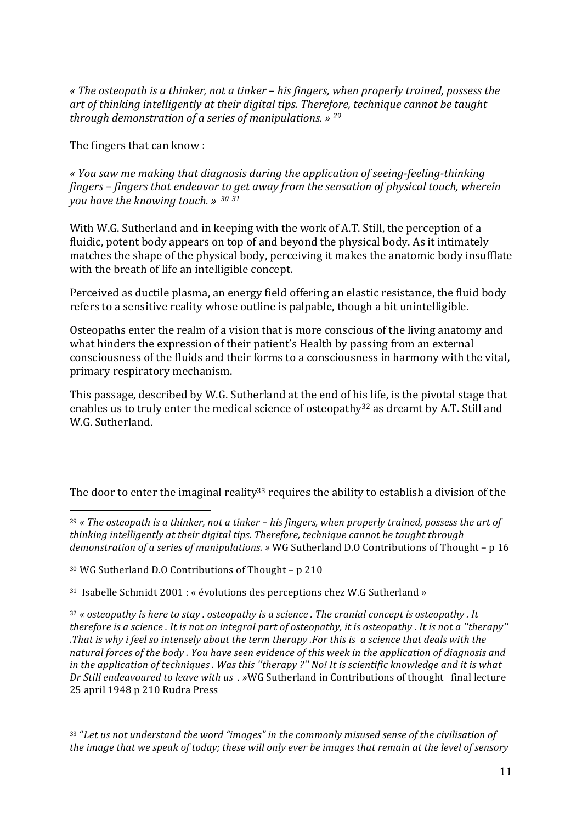« The osteopath is a thinker, not a tinker - his fingers, when properly trained, possess the art of thinking intelligently at their digital tips. Therefore, technique cannot be taught *through demonstration of a series of manipulations. » 29*

The fingers that can know :

*« You saw me making that diagnosis during the application of seeing-feeling-thinking fingers* – *fingers* that endeavor to get away from the sensation of physical touch, wherein *you have the knowing touch. » <sup>30</sup> <sup>31</sup>*

With W.G. Sutherland and in keeping with the work of A.T. Still, the perception of a fluidic, potent body appears on top of and beyond the physical body. As it intimately matches the shape of the physical body, perceiving it makes the anatomic body insufflate with the breath of life an intelligible concept.

Perceived as ductile plasma, an energy field offering an elastic resistance, the fluid body refers to a sensitive reality whose outline is palpable, though a bit unintelligible.

Osteopaths enter the realm of a vision that is more conscious of the living anatomy and what hinders the expression of their patient's Health by passing from an external consciousness of the fluids and their forms to a consciousness in harmony with the vital, primary respiratory mechanism.

This passage, described by W.G. Sutherland at the end of his life, is the pivotal stage that enables us to truly enter the medical science of osteopathy<sup>32</sup> as dreamt by A.T. Still and W.G. Sutherland.

The door to enter the imaginal reality<sup>33</sup> requires the ability to establish a division of the

<sup>29</sup> « The osteopath is a thinker, not a tinker – his fingers, when properly trained, possess the art of thinking intelligently at their digital tips. Therefore, technique cannot be taught through demonstration of a series of manipulations. » WG Sutherland D.O Contributions of Thought - p 16

<sup>30</sup> WG Sutherland D.O Contributions of Thought - p 210

 

 $31$  Isabelle Schmidt 2001 : « évolutions des perceptions chez W.G Sutherland »

<sup>32</sup> « *osteopathy* is here to stay . osteopathy is a science . The cranial concept is osteopathy . It *therefore is a science . It is not an integral part of osteopathy, it is osteopathy . It is not a "therapy" .That* is why *i* feel so intensely about the term therapy .For this is a science that deals with the natural forces of the body. You have seen evidence of this week in the application of diagnosis and in the application of techniques . Was this "therapy ?" No! It is scientific knowledge and it is what *Dr Still endeavoured to leave with us . »WG Sutherland in Contributions of thought final lecture* 25 april 1948 p 210 Rudra Press

33 "Let us not understand the word "images" in the commonly misused sense of the civilisation of *the image that we speak of today; these will only ever be images that remain at the level of sensory*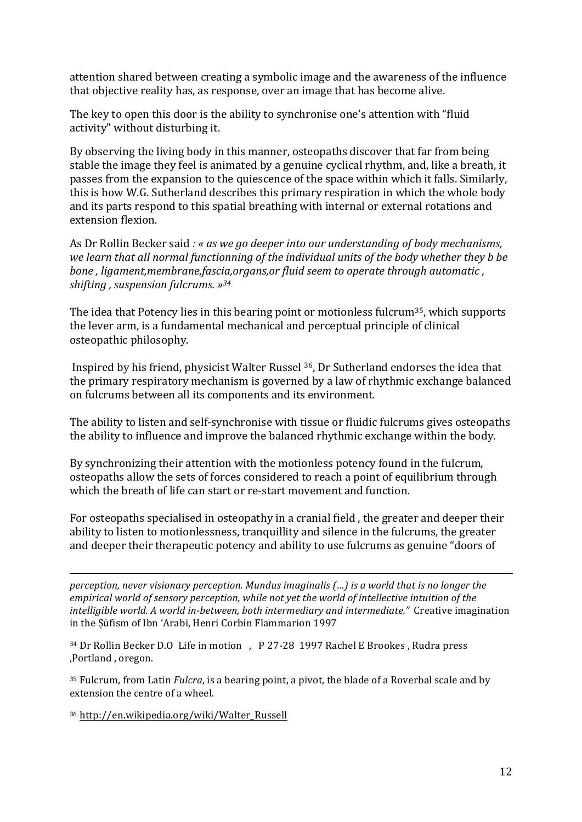attention shared between creating a symbolic image and the awareness of the influence that objective reality has, as response, over an image that has become alive.

The key to open this door is the ability to synchronise one's attention with "fluid" activity" without disturbing it.

By observing the living body in this manner, osteopaths discover that far from being stable the image they feel is animated by a genuine cyclical rhythm, and, like a breath, it passes from the expansion to the quiescence of the space within which it falls. Similarly, this is how W.G. Sutherland describes this primary respiration in which the whole body and its parts respond to this spatial breathing with internal or external rotations and extension flexion.

As Dr Rollin Becker said *:* « as we go deeper into our understanding of body mechanisms, we learn that all normal functionning of the individual units of the body whether they *b* be *bone*, *ligament,membrane,fascia,organs,or fluid seem to operate through automatic*, *shifting , suspension fulcrums. »34*

The idea that Potency lies in this bearing point or motionless fulcrum<sup>35</sup>, which supports the lever arm, is a fundamental mechanical and perceptual principle of clinical osteopathic philosophy.

Inspired by his friend, physicist Walter Russel <sup>36</sup>, Dr Sutherland endorses the idea that the primary respiratory mechanism is governed by a law of rhythmic exchange balanced on fulcrums between all its components and its environment.

The ability to listen and self-synchronise with tissue or fluidic fulcrums gives osteopaths the ability to influence and improve the balanced rhythmic exchange within the body.

By synchronizing their attention with the motionless potency found in the fulcrum, osteopaths allow the sets of forces considered to reach a point of equilibrium through which the breath of life can start or re-start movement and function.

For osteopaths specialised in osteopathy in a cranial field, the greater and deeper their ability to listen to motionlessness, tranquillity and silence in the fulcrums, the greater and deeper their therapeutic potency and ability to use fulcrums as genuine "doors of

*perception, never visionary perception. Mundus imaginalis (...) is a world that is no longer the* empirical world of sensory perception, while not yet the world of intellective intuition of the *intelligible world.* A world in-between, both intermediary and intermediate." Creative imagination in the Sūfism of Ibn 'Arabī, Henri Corbin Flammarion 1997

<u> 1989 - Andrea Santa Alemania, amerikana amerikana amerikana amerikana amerikana amerikana amerikana amerikan</u>

<sup>34</sup> Dr Rollin Becker D.O Life in motion , P 27-28 1997 Rachel E Brookes, Rudra press ,Portland, oregon.

<sup>35</sup> Fulcrum, from Latin *Fulcra*, is a bearing point, a pivot, the blade of a Roverbal scale and by extension the centre of a wheel.

<sup>36</sup> http://en.wikipedia.org/wiki/Walter\_Russell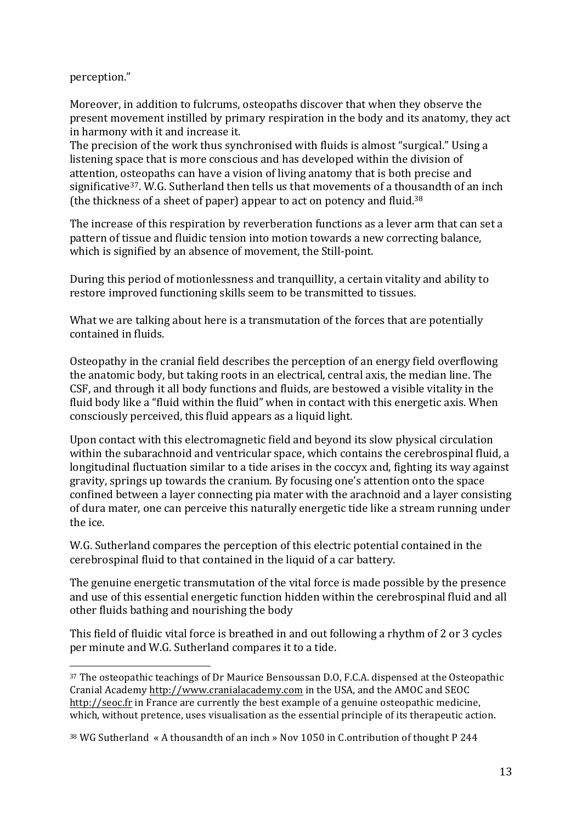perception." 

Moreover, in addition to fulcrums, osteopaths discover that when they observe the present movement instilled by primary respiration in the body and its anatomy, they act in harmony with it and increase it.

The precision of the work thus synchronised with fluids is almost "surgical." Using a listening space that is more conscious and has developed within the division of attention, osteopaths can have a vision of living anatomy that is both precise and significative<sup>37</sup>. W.G. Sutherland then tells us that movements of a thousandth of an inch (the thickness of a sheet of paper) appear to act on potency and fluid.<sup>38</sup>

The increase of this respiration by reverberation functions as a lever arm that can set a pattern of tissue and fluidic tension into motion towards a new correcting balance, which is signified by an absence of movement, the Still-point.

During this period of motionlessness and tranquillity, a certain vitality and ability to restore improved functioning skills seem to be transmitted to tissues.

What we are talking about here is a transmutation of the forces that are potentially contained in fluids.

Osteopathy in the cranial field describes the perception of an energy field overflowing the anatomic body, but taking roots in an electrical, central axis, the median line. The CSF, and through it all body functions and fluids, are bestowed a visible vitality in the fluid body like a "fluid within the fluid" when in contact with this energetic axis. When consciously perceived, this fluid appears as a liquid light.

Upon contact with this electromagnetic field and beyond its slow physical circulation within the subarachnoid and ventricular space, which contains the cerebrospinal fluid, a longitudinal fluctuation similar to a tide arises in the coccyx and, fighting its way against gravity, springs up towards the cranium. By focusing one's attention onto the space confined between a layer connecting pia mater with the arachnoid and a layer consisting of dura mater, one can perceive this naturally energetic tide like a stream running under the ice.

W.G. Sutherland compares the perception of this electric potential contained in the cerebrospinal fluid to that contained in the liquid of a car battery.

The genuine energetic transmutation of the vital force is made possible by the presence and use of this essential energetic function hidden within the cerebrospinal fluid and all other fluids bathing and nourishing the body

This field of fluidic vital force is breathed in and out following a rhythm of 2 or 3 cycles per minute and W.G. Sutherland compares it to a tide.

  $37$  The osteopathic teachings of Dr Maurice Bensoussan D.O, F.C.A. dispensed at the Osteopathic Cranial Academy http://www.cranialacademy.com in the USA, and the AMOC and SEOC http://seoc.fr in France are currently the best example of a genuine osteopathic medicine, which, without pretence, uses visualisation as the essential principle of its therapeutic action.

<sup>&</sup>lt;sup>38</sup> WG Sutherland « A thousandth of an inch » Nov 1050 in C.ontribution of thought P 244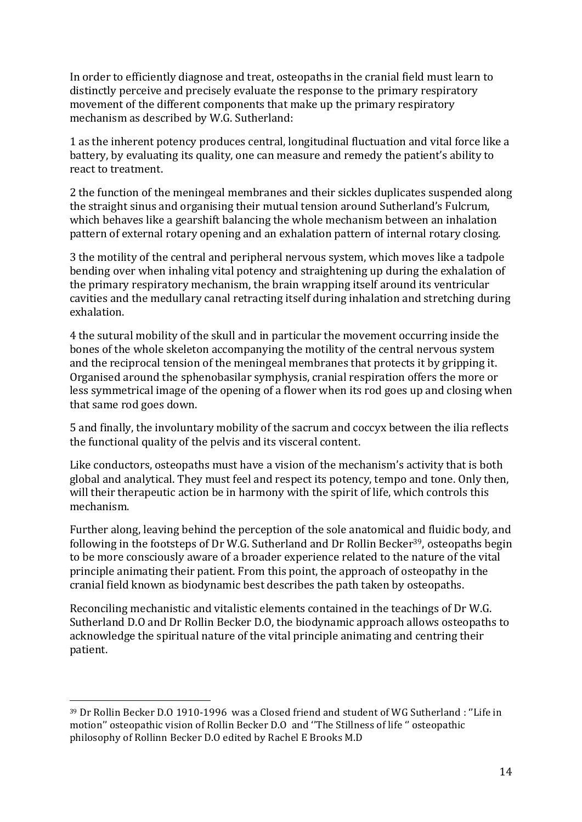In order to efficiently diagnose and treat, osteopaths in the cranial field must learn to distinctly perceive and precisely evaluate the response to the primary respiratory movement of the different components that make up the primary respiratory mechanism as described by W.G. Sutherland:

1 as the inherent potency produces central, longitudinal fluctuation and vital force like a battery, by evaluating its quality, one can measure and remedy the patient's ability to react to treatment.

2 the function of the meningeal membranes and their sickles duplicates suspended along the straight sinus and organising their mutual tension around Sutherland's Fulcrum, which behaves like a gearshift balancing the whole mechanism between an inhalation pattern of external rotary opening and an exhalation pattern of internal rotary closing.

3 the motility of the central and peripheral nervous system, which moves like a tadpole bending over when inhaling vital potency and straightening up during the exhalation of the primary respiratory mechanism, the brain wrapping itself around its ventricular cavities and the medullary canal retracting itself during inhalation and stretching during exhalation.

4 the sutural mobility of the skull and in particular the movement occurring inside the bones of the whole skeleton accompanying the motility of the central nervous system and the reciprocal tension of the meningeal membranes that protects it by gripping it. Organised around the sphenobasilar symphysis, cranial respiration offers the more or less symmetrical image of the opening of a flower when its rod goes up and closing when that same rod goes down.

5 and finally, the involuntary mobility of the sacrum and coccyx between the ilia reflects the functional quality of the pelvis and its visceral content.

Like conductors, osteopaths must have a vision of the mechanism's activity that is both global and analytical. They must feel and respect its potency, tempo and tone. Only then, will their therapeutic action be in harmony with the spirit of life, which controls this mechanism. 

Further along, leaving behind the perception of the sole anatomical and fluidic body, and following in the footsteps of Dr W.G. Sutherland and Dr Rollin Becker<sup>39</sup>, osteopaths begin to be more consciously aware of a broader experience related to the nature of the vital principle animating their patient. From this point, the approach of osteopathy in the cranial field known as biodynamic best describes the path taken by osteopaths.

Reconciling mechanistic and vitalistic elements contained in the teachings of Dr W.G. Sutherland D.O and Dr Rollin Becker D.O, the biodynamic approach allows osteopaths to acknowledge the spiritual nature of the vital principle animating and centring their patient. 

<sup>&</sup>lt;sup>39</sup> Dr Rollin Becker D.O 1910-1996 was a Closed friend and student of WG Sutherland : "Life in motion'' osteopathic vision of Rollin Becker D.O and "The Stillness of life " osteopathic philosophy of Rollinn Becker D.O edited by Rachel E Brooks M.D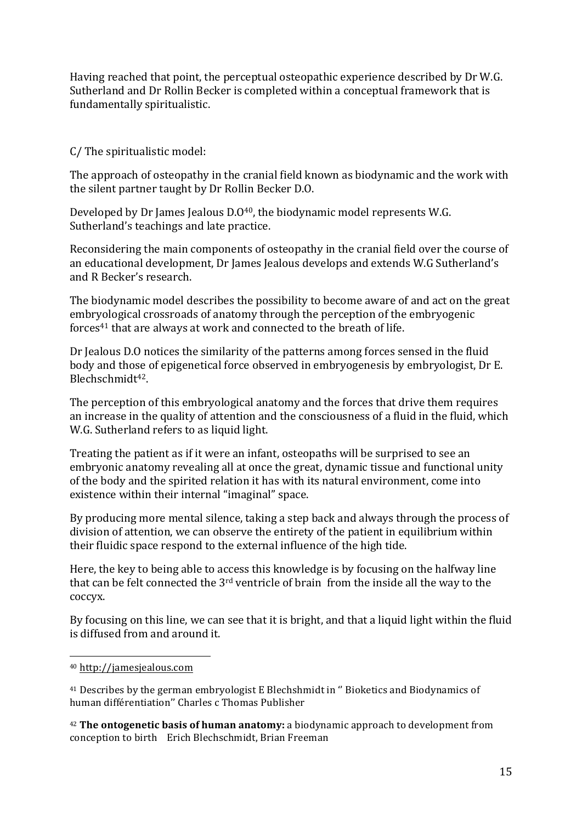Having reached that point, the perceptual osteopathic experience described by Dr W.G. Sutherland and Dr Rollin Becker is completed within a conceptual framework that is fundamentally spiritualistic.

C/ The spiritualistic model:

The approach of osteopathy in the cranial field known as biodynamic and the work with the silent partner taught by Dr Rollin Becker D.O.

Developed by Dr James Jealous  $D.040$ , the biodynamic model represents W.G. Sutherland's teachings and late practice.

Reconsidering the main components of osteopathy in the cranial field over the course of an educational development. Dr James Jealous develops and extends W.G Sutherland's and R Becker's research.

The biodynamic model describes the possibility to become aware of and act on the great embryological crossroads of anatomy through the perception of the embryogenic forces $41$  that are always at work and connected to the breath of life.

Dr Jealous D.O notices the similarity of the patterns among forces sensed in the fluid body and those of epigenetical force observed in embryogenesis by embryologist, Dr E. Blechschmidt<sup>42</sup>.

The perception of this embryological anatomy and the forces that drive them requires an increase in the quality of attention and the consciousness of a fluid in the fluid, which W.G. Sutherland refers to as liquid light.

Treating the patient as if it were an infant, osteopaths will be surprised to see an embryonic anatomy revealing all at once the great, dynamic tissue and functional unity of the body and the spirited relation it has with its natural environment, come into existence within their internal "imaginal" space.

By producing more mental silence, taking a step back and always through the process of division of attention, we can observe the entirety of the patient in equilibrium within their fluidic space respond to the external influence of the high tide.

Here, the key to being able to access this knowledge is by focusing on the halfway line that can be felt connected the  $3<sup>rd</sup>$  ventricle of brain from the inside all the way to the coccyx.

By focusing on this line, we can see that it is bright, and that a liquid light within the fluid is diffused from and around it.

 

<sup>42</sup> The ontogenetic basis of human anatomy: a biodynamic approach to development from conception to birth Erich Blechschmidt, Brian Freeman

<sup>40</sup> http://jamesjealous.com

<sup>&</sup>lt;sup>41</sup> Describes by the german embryologist E Blechshmidt in " Bioketics and Biodynamics of human différentiation" Charles c Thomas Publisher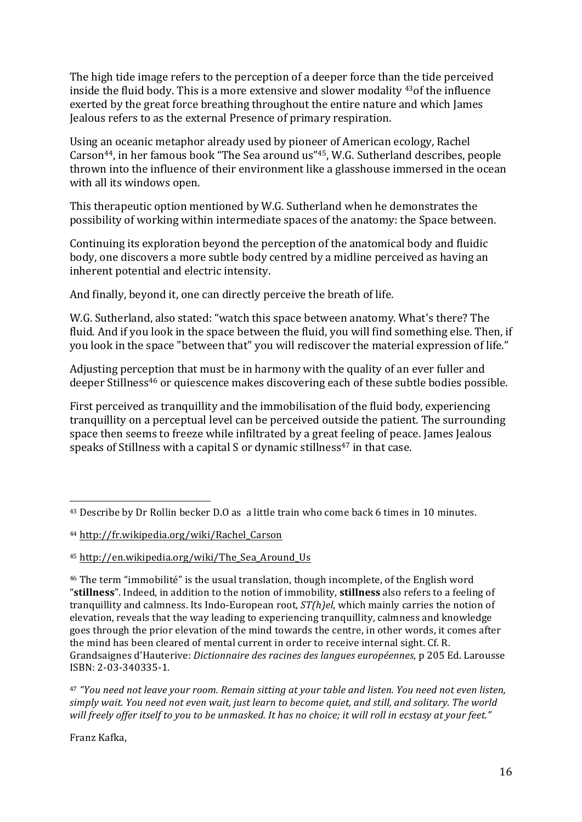The high tide image refers to the perception of a deeper force than the tide perceived inside the fluid body. This is a more extensive and slower modality <sup>43</sup>of the influence exerted by the great force breathing throughout the entire nature and which James Jealous refers to as the external Presence of primary respiration.

Using an oceanic metaphor already used by pioneer of American ecology, Rachel Carson<sup>44</sup>, in her famous book "The Sea around us"<sup>45</sup>, W.G. Sutherland describes, people thrown into the influence of their environment like a glasshouse immersed in the ocean with all its windows open.

This therapeutic option mentioned by W.G. Sutherland when he demonstrates the possibility of working within intermediate spaces of the anatomy: the Space between.

Continuing its exploration beyond the perception of the anatomical body and fluidic body, one discovers a more subtle body centred by a midline perceived as having an inherent potential and electric intensity.

And finally, beyond it, one can directly perceive the breath of life.

W.G. Sutherland, also stated: "watch this space between anatomy. What's there? The fluid. And if you look in the space between the fluid, you will find something else. Then, if you look in the space "between that" you will rediscover the material expression of life."

Adjusting perception that must be in harmony with the quality of an ever fuller and deeper Stillness<sup>46</sup> or quiescence makes discovering each of these subtle bodies possible.

First perceived as tranquillity and the immobilisation of the fluid body, experiencing tranquillity on a perceptual level can be perceived outside the patient. The surrounding space then seems to freeze while infiltrated by a great feeling of peace. James Jealous speaks of Stillness with a capital S or dynamic stillness<sup>47</sup> in that case.

 

<sup>47</sup> "You need not leave your room. Remain sitting at your table and listen. You need not even listen, simply wait. You need not even wait, just learn to become quiet, and still, and solitary. The world will freely offer itself to you to be unmasked. It has no choice; it will roll in ecstasy at your feet."

Franz Kafka,

 $43$  Describe by Dr Rollin becker D.O as a little train who come back 6 times in 10 minutes.

<sup>44</sup> http://fr.wikipedia.org/wiki/Rachel\_Carson

<sup>45</sup> http://en.wikipedia.org/wiki/The\_Sea\_Around\_Us 

 $46$  The term "immobilité" is the usual translation, though incomplete, of the English word "stillness". Indeed, in addition to the notion of immobility, stillness also refers to a feeling of tranquillity and calmness. Its Indo-European root,  $ST(h)eI$ , which mainly carries the notion of elevation, reveals that the way leading to experiencing tranquillity, calmness and knowledge goes through the prior elevation of the mind towards the centre, in other words, it comes after the mind has been cleared of mental current in order to receive internal sight. Cf. R. Grandsaignes d'Hauterive: *Dictionnaire des racines des langues européennes*, p 205 Ed. Larousse ISBN: 2-03-340335-1.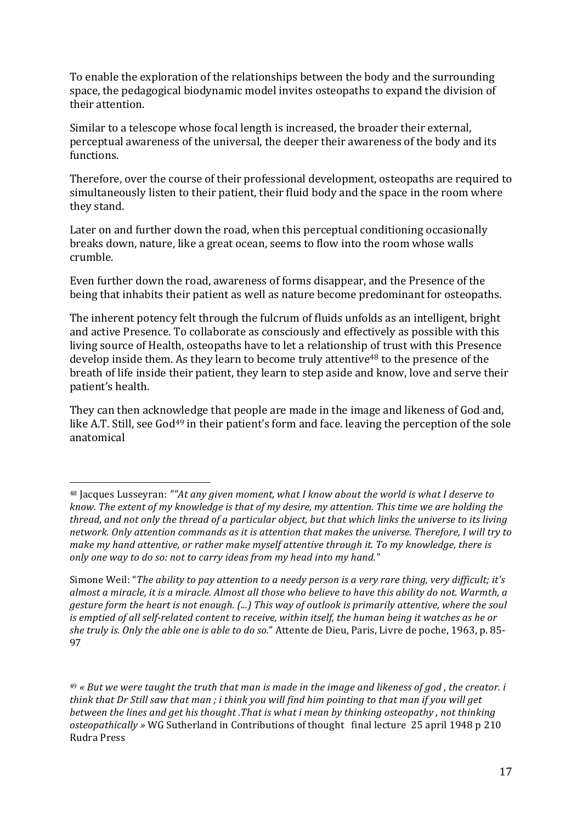To enable the exploration of the relationships between the body and the surrounding space, the pedagogical biodynamic model invites osteopaths to expand the division of their attention.

Similar to a telescope whose focal length is increased, the broader their external, perceptual awareness of the universal, the deeper their awareness of the body and its functions.

Therefore, over the course of their professional development, osteopaths are required to simultaneously listen to their patient, their fluid body and the space in the room where they stand.

Later on and further down the road, when this perceptual conditioning occasionally breaks down, nature, like a great ocean, seems to flow into the room whose walls crumble. 

Even further down the road, awareness of forms disappear, and the Presence of the being that inhabits their patient as well as nature become predominant for osteopaths.

The inherent potency felt through the fulcrum of fluids unfolds as an intelligent, bright and active Presence. To collaborate as consciously and effectively as possible with this living source of Health, osteopaths have to let a relationship of trust with this Presence develop inside them. As they learn to become truly attentive<sup>48</sup> to the presence of the breath of life inside their patient, they learn to step aside and know, love and serve their patient's health.

They can then acknowledge that people are made in the image and likeness of God and, like A.T. Still, see  $God^{49}$  in their patient's form and face. leaving the perception of the sole anatomical

 <sup>48</sup> Jacques Lusseyran: ""At any given moment, what I know about the world is what I deserve to *know.* The extent of my knowledge is that of my desire, my attention. This time we are holding the thread, and not only the thread of a particular object, but that which links the universe to its living network. Only attention commands as it is attention that makes the universe. Therefore, I will try to make my hand attentive, or rather make myself attentive through it. To my knowledge, there is only one way to do so: not to carry ideas from my head into my hand."

Simone Weil: "*The ability to pay attention to a needy person is a very rare thing, very difficult; it's* almost a miracle, it is a miracle. Almost all those who believe to have this ability do not. Warmth, a *gesture form the heart is not enough.* (...) This way of outlook is primarily attentive, where the soul *is* emptied of all self-related content to receive, within itself, the human being it watches as he or *she truly is. Only the able one is able to do so.*" Attente de Dieu, Paris, Livre de poche, 1963, p. 85-97

<sup>&</sup>lt;sup>49</sup> « But we were taught the truth that man is made in the image and likeness of god, the creator. i *think* that Dr Still saw that man ; i think you will find him pointing to that man if you will get *between the lines and get his thought .That is what i mean by thinking osteopathy, not thinking osteopathically* » WG Sutherland in Contributions of thought final lecture 25 april 1948 p 210 Rudra Press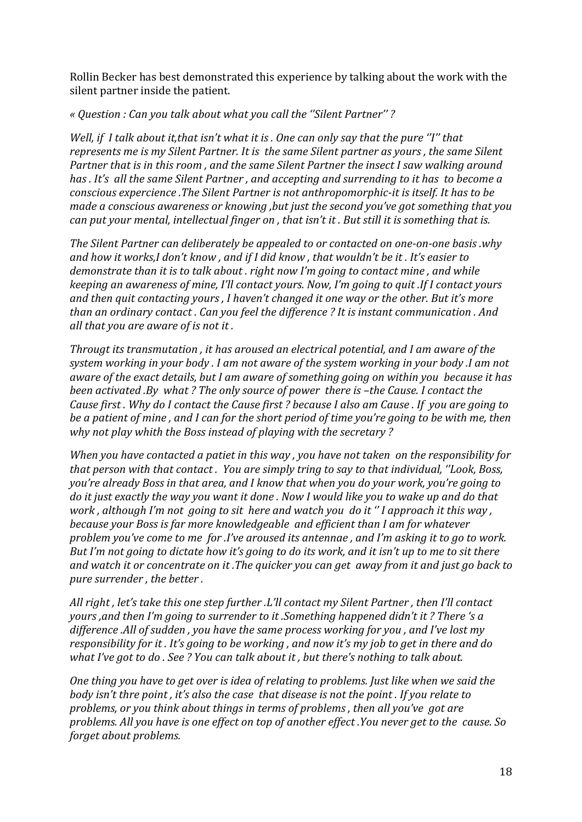Rollin Becker has best demonstrated this experience by talking about the work with the silent partner inside the patient.

## *« Question : Can you talk about what you call the ''Silent Partner'' ?*

*Well, if I talk about it,that isn't what it is . One can only say that the pure "I" that represents* me is my Silent Partner. It is the same Silent partner as yours, the same Silent Partner that is in this room, and the same Silent Partner the insect I saw walking around has . It's all the same Silent Partner, and accepting and surrending to it has to become a *conscious expercience .The Silent Partner is not anthropomorphic-it is itself. It has to be made a conscious awareness or knowing ,but just the second you've got something that you can put your mental, intellectual finger on, that isn't it . But still it is something that is.* 

The Silent Partner can deliberately be appealed to or contacted on one-on-one basis *.why* and how it works,I don't know, and if I did know, that wouldn't be it. It's easier to *demonstrate than it is to talk about . right now I'm going to contact mine, and while keeping an awareness of mine, I'll contact yours. Now, I'm going to guit .If I contact yours* and then quit contacting yours . I haven't changed it one way or the other. But it's more *than an ordinary contact. Can you feel the difference* ? It is instant communication . And *all that you are aware of is not it.* 

*Througt its transmutation, it has aroused an electrical potential, and I am aware of the* system working in your body . I am not aware of the system working in your body .I am not *aware of the exact details, but I am aware of something going on within you because it has been activated .By what ? The only source of power there is -the Cause. I contact the Cause first*. Why do I contact the Cause first ? because I also am Cause . If you are going to *be a patient of mine, and I can for the short period of time you're going to be with me, then why not play whith the Boss instead of playing with the secretary?* 

*When you have contacted a patiet in this way, you have not taken on the responsibility for that person with that contact. You are simply tring to say to that individual, "Look, Boss, you're already Boss in that area, and I know that when you do your work, you're going to do* it just exactly the way you want it done . Now I would like you to wake up and do that *work*, although I'm not going to sit here and watch you do it "I approach it this way, *because your Boss is far more knowledgeable and efficient than I am for whatever problem you've come to me for .I've aroused its antennae, and I'm asking it to go to work. But I'm not going to dictate how it's going to do its work, and it isn't up to me to sit there* and watch it or concentrate on it. The quicker you can get away from it and just go back to pure surrender, the better.

*All right, let's take this one step further .L'll contact my Silent Partner, then I'll contact yours*, and then I'm going to surrender to it. Something happened didn't it? There 's a difference .All of sudden, you have the same process working for you, and I've lost my *responsibility for it . It's going to be working, and now it's my job to get in there and do what I've got to do . See ? You can talk about it, but there's nothing to talk about.* 

*One thing you have to get over is idea of relating to problems. Just like when we said the body* isn't thre point, it's also the case that disease is not the point. If you relate to problems, or you think about things in terms of problems, then all you've got are *problems.* All you have is one effect on top of another effect .You never get to the cause. So *forget about problems.*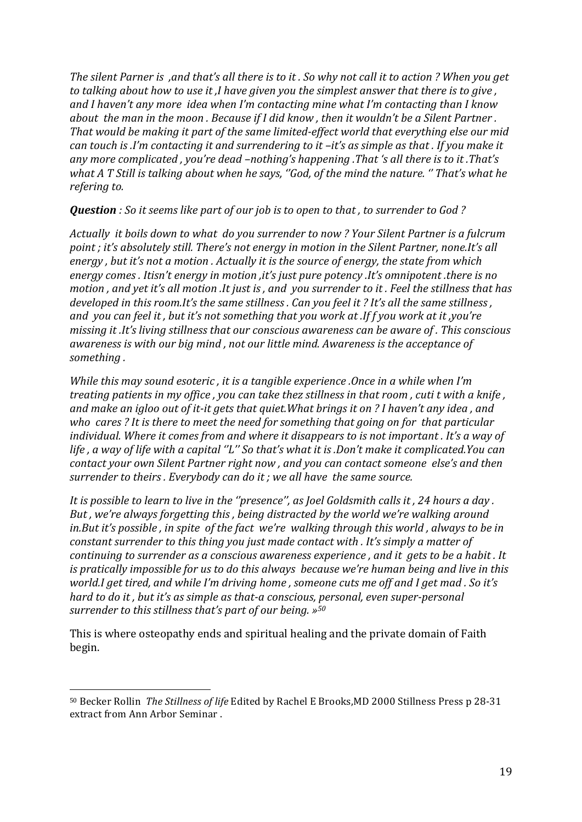*The silent Parner is ,and that's all there is to it. So why not call it to action ? When you get to* talking about how to use it, I have given you the simplest answer that there is to give, and I haven't any more *idea* when I'm contacting mine what I'm contacting than I know *about the man in the moon. Because if I did know, then it wouldn't be a Silent Partner.* That would be making it part of the same limited-effect world that everything else our mid *can* touch is .I'm contacting it and surrendering to it –it's as simple as that . If you make it any more complicated, you're dead -nothing's happening .That 's all there is to it .That's *what A* T Still is talking about when he says, "God, of the mind the nature. " That's what he *refering to.*

*Question :* So it seems like part of our job is to open to that , to surrender to God?

*Actually it boils down to what do you surrender to now ? Your Silent Partner is a fulcrum*  point *;* it's absolutely still. There's not energy in motion in the Silent Partner, none.It's all *energy*, but it's not a motion. Actually it is the source of energy, the state from which energy comes . Itisn't energy in motion ,it's just pure potency .It's omnipotent .there is no *motion*, and yet it's all motion .It just is, and you surrender to it. Feel the stillness that has *developed in this room.It's the same stillness. Can you feel it? It's all the same stillness,* and you can feel it, but it's not something that you work at .If f you work at it, you're *missing it .It's living stillness that our conscious awareness can be aware of . This conscious awareness is with our big mind, not our little mind. Awareness is the acceptance of something .*

*While this may sound esoteric, it is a tangible experience .Once in a while when I'm treating patients in my office, you can take thez stillness in that room, cuti t with a knife,* and make an igloo out of it-it gets that quiet. What brings it on ? I haven't any idea, and who cares ? It is there to meet the need for something that going on for that particular *individual.* Where it comes from and where it disappears to is not important . It's a way of life, a way of life with a capital "L" So that's what it is .Don't make it complicated.You can *contact your own Silent Partner right now, and you can contact someone else's and then surrender to theirs. Everybody can do it ; we all have the same source.* 

*It* is possible to learn to live in the "presence", as Joel Goldsmith calls it, 24 hours a day. *But, we're always forgetting this, being distracted by the world we're walking around in.But* it's possible, in spite of the fact we're walking through this world, always to be in *constant surrender to this thing you just made contact with . It's simply a matter of continuing to surrender as a conscious awareness experience, and it gets to be a habit. It is* pratically *impossible for us to do this always because we're human being and live in this world.I get tired, and while I'm driving home, someone cuts me off and I get mad. So it's hard* to do it, but it's as simple as that-a conscious, personal, even super-personal *surrender to this stillness that's part of our being.* »<sup>50</sup>

This is where osteopathy ends and spiritual healing and the private domain of Faith begin. 

<sup>50</sup> Becker Rollin *The Stillness of life* Edited by Rachel E Brooks,MD 2000 Stillness Press p 28-31 extract from Ann Arbor Seminar.